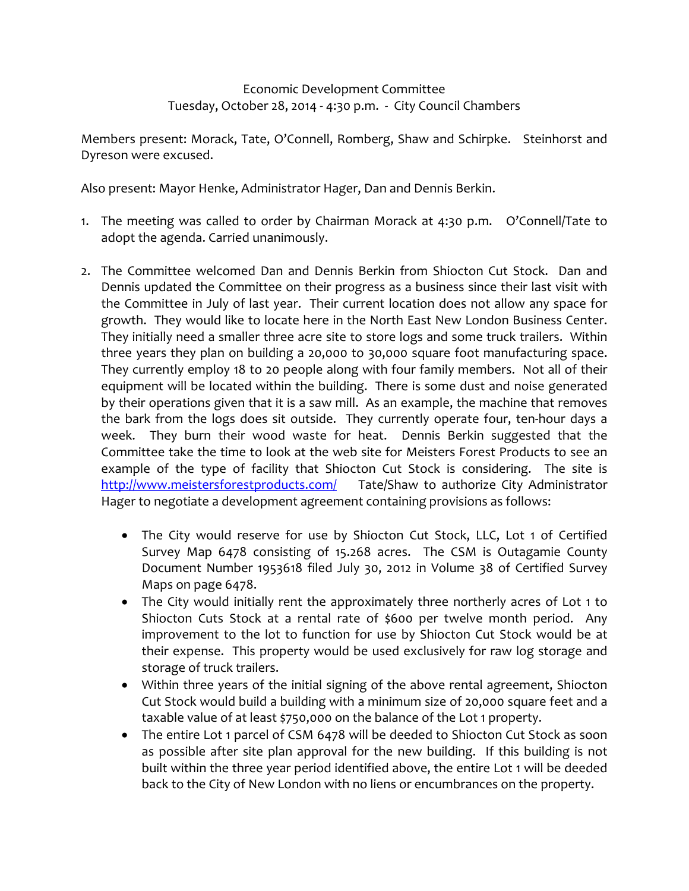Economic Development Committee Tuesday, October 28, 2014 ‐ 4:30 p.m. ‐ City Council Chambers

Members present: Morack, Tate, O'Connell, Romberg, Shaw and Schirpke. Steinhorst and Dyreson were excused.

Also present: Mayor Henke, Administrator Hager, Dan and Dennis Berkin.

- 1. The meeting was called to order by Chairman Morack at 4:30 p.m. O'Connell/Tate to adopt the agenda. Carried unanimously.
- 2. The Committee welcomed Dan and Dennis Berkin from Shiocton Cut Stock. Dan and Dennis updated the Committee on their progress as a business since their last visit with the Committee in July of last year. Their current location does not allow any space for growth. They would like to locate here in the North East New London Business Center. They initially need a smaller three acre site to store logs and some truck trailers. Within three years they plan on building a 20,000 to 30,000 square foot manufacturing space. They currently employ 18 to 20 people along with four family members. Not all of their equipment will be located within the building. There is some dust and noise generated by their operations given that it is a saw mill. As an example, the machine that removes the bark from the logs does sit outside. They currently operate four, ten-hour days a week. They burn their wood waste for heat. Dennis Berkin suggested that the Committee take the time to look at the web site for Meisters Forest Products to see an example of the type of facility that Shiocton Cut Stock is considering. The site is http://www.meistersforestproducts.com/ Tate/Shaw to authorize City Administrator Hager to negotiate a development agreement containing provisions as follows:
	- The City would reserve for use by Shiocton Cut Stock, LLC, Lot 1 of Certified Survey Map 6478 consisting of 15.268 acres. The CSM is Outagamie County Document Number 1953618 filed July 30, 2012 in Volume 38 of Certified Survey Maps on page 6478.
	- The City would initially rent the approximately three northerly acres of Lot 1 to Shiocton Cuts Stock at a rental rate of \$600 per twelve month period. Any improvement to the lot to function for use by Shiocton Cut Stock would be at their expense. This property would be used exclusively for raw log storage and storage of truck trailers.
	- Within three years of the initial signing of the above rental agreement, Shiocton Cut Stock would build a building with a minimum size of 20,000 square feet and a taxable value of at least \$750,000 on the balance of the Lot 1 property.
	- The entire Lot 1 parcel of CSM 6478 will be deeded to Shiocton Cut Stock as soon as possible after site plan approval for the new building. If this building is not built within the three year period identified above, the entire Lot 1 will be deeded back to the City of New London with no liens or encumbrances on the property.